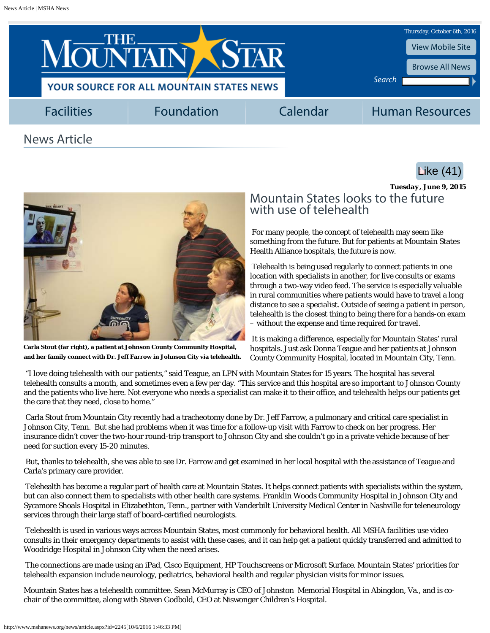<span id="page-0-0"></span>

## News Article





**Carla Stout (far right), a patient at Johnson County Community Hospital, and her family connect with Dr. Jeff Farrow in Johnson City via telehealth.**

## *Tuesday, June 9, 2015* Mountain States looks to the future with use of telehealth

For many people, the concept of telehealth may seem like something from the future. But for patients at Mountain States Health Alliance hospitals, the future is now.

Telehealth is being used regularly to connect patients in one location with specialists in another, for live consults or exams through a two-way video feed. The service is especially valuable in rural communities where patients would have to travel a long distance to see a specialist. Outside of seeing a patient in person, telehealth is the closest thing to being there for a hands-on exam – without the expense and time required for travel.

It is making a difference, especially for Mountain States' rural hospitals. Just ask Donna Teague and her patients at Johnson County Community Hospital, located in Mountain City, Tenn.

"I love doing telehealth with our patients," said Teague, an LPN with Mountain States for 15 years. The hospital has several telehealth consults a month, and sometimes even a few per day. "This service and this hospital are so important to Johnson County and the patients who live here. Not everyone who needs a specialist can make it to their office, and telehealth helps our patients get the care that they need, close to home."

Carla Stout from Mountain City recently had a tracheotomy done by Dr. Jeff Farrow, a pulmonary and critical care specialist in Johnson City, Tenn. But she had problems when it was time for a follow-up visit with Farrow to check on her progress. Her insurance didn't cover the two-hour round-trip transport to Johnson City and she couldn't go in a private vehicle because of her need for suction every 15-20 minutes.

But, thanks to telehealth, she was able to see Dr. Farrow and get examined in her local hospital with the assistance of Teague and Carla's primary care provider.

Telehealth has become a regular part of health care at Mountain States. It helps connect patients with specialists within the system, but can also connect them to specialists with other health care systems. Franklin Woods Community Hospital in Johnson City and Sycamore Shoals Hospital in Elizabethton, Tenn., partner with Vanderbilt University Medical Center in Nashville for teleneurology services through their large staff of board-certified neurologists.

Telehealth is used in various ways across Mountain States, most commonly for behavioral health. All MSHA facilities use video consults in their emergency departments to assist with these cases, and it can help get a patient quickly transferred and admitted to Woodridge Hospital in Johnson City when the need arises.

The connections are made using an iPad, Cisco Equipment, HP Touchscreens or Microsoft Surface. Mountain States' priorities for telehealth expansion include neurology, pediatrics, behavioral health and regular physician visits for minor issues.

Mountain States has a telehealth committee. Sean McMurray is CEO of Johnston Memorial Hospital in Abingdon, Va., and is cochair of the committee, along with Steven Godbold, CEO at Niswonger Children's Hospital.